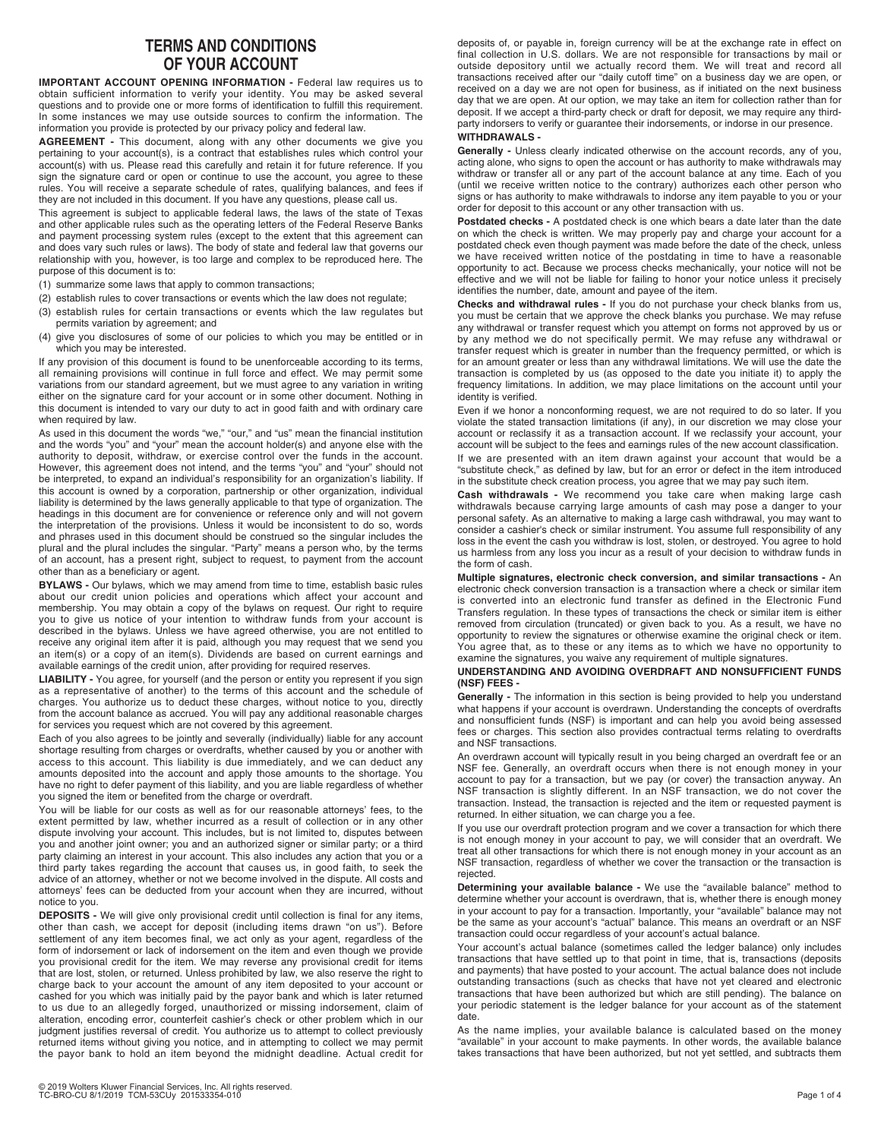## **TERMS AND CONDITIONS OF YOUR ACCOUNT**

**IMPORTANT ACCOUNT OPENING INFORMATION -** Federal law requires us to obtain sufficient information to verify your identity. You may be asked several questions and to provide one or more forms of identification to fulfill this requirement. In some instances we may use outside sources to confirm the information. The information you provide is protected by our privacy policy and federal law.

**AGREEMENT -** This document, along with any other documents we give you pertaining to your account(s), is a contract that establishes rules which control your account(s) with us. Please read this carefully and retain it for future reference. If you sign the signature card or open or continue to use the account, you agree to these rules. You will receive a separate schedule of rates, qualifying balances, and fees if they are not included in this document. If you have any questions, please call us.

This agreement is subject to applicable federal laws, the laws of the state of Texas and other applicable rules such as the operating letters of the Federal Reserve Banks and payment processing system rules (except to the extent that this agreement can and does vary such rules or laws). The body of state and federal law that governs our relationship with you, however, is too large and complex to be reproduced here. The purpose of this document is to:

- (1) summarize some laws that apply to common transactions;
- (2) establish rules to cover transactions or events which the law does not regulate;
- (3) establish rules for certain transactions or events which the law regulates but permits variation by agreement; and
- (4) give you disclosures of some of our policies to which you may be entitled or in which you may be interested.

If any provision of this document is found to be unenforceable according to its terms, all remaining provisions will continue in full force and effect. We may permit some variations from our standard agreement, but we must agree to any variation in writing either on the signature card for your account or in some other document. Nothing in this document is intended to vary our duty to act in good faith and with ordinary care when required by law.

As used in this document the words "we," "our," and "us" mean the financial institution and the words "you" and "your" mean the account holder(s) and anyone else with the authority to deposit, withdraw, or exercise control over the funds in the account. However, this agreement does not intend, and the terms "you" and "your" should not be interpreted, to expand an individual's responsibility for an organization's liability. If this account is owned by a corporation, partnership or other organization, individual liability is determined by the laws generally applicable to that type of organization. The headings in this document are for convenience or reference only and will not govern the interpretation of the provisions. Unless it would be inconsistent to do so, words and phrases used in this document should be construed so the singular includes the plural and the plural includes the singular. "Party" means a person who, by the terms of an account, has a present right, subject to request, to payment from the account other than as a beneficiary or agent.

**BYLAWS -** Our bylaws, which we may amend from time to time, establish basic rules about our credit union policies and operations which affect your account and membership. You may obtain a copy of the bylaws on request. Our right to require you to give us notice of your intention to withdraw funds from your account is described in the bylaws. Unless we have agreed otherwise, you are not entitled to receive any original item after it is paid, although you may request that we send you an item(s) or a copy of an item(s). Dividends are based on current earnings and available earnings of the credit union, after providing for required reserves.

**LIABILITY -** You agree, for yourself (and the person or entity you represent if you sign as a representative of another) to the terms of this account and the schedule of charges. You authorize us to deduct these charges, without notice to you, directly from the account balance as accrued. You will pay any additional reasonable charges for services you request which are not covered by this agreement.

Each of you also agrees to be jointly and severally (individually) liable for any account shortage resulting from charges or overdrafts, whether caused by you or another with access to this account. This liability is due immediately, and we can deduct any amounts deposited into the account and apply those amounts to the shortage. You have no right to defer payment of this liability, and you are liable regardless of whether you signed the item or benefited from the charge or overdraft.

You will be liable for our costs as well as for our reasonable attorneys' fees, to the extent permitted by law, whether incurred as a result of collection or in any other dispute involving your account. This includes, but is not limited to, disputes between you and another joint owner; you and an authorized signer or similar party; or a third party claiming an interest in your account. This also includes any action that you or a third party takes regarding the account that causes us, in good faith, to seek the advice of an attorney, whether or not we become involved in the dispute. All costs and attorneys' fees can be deducted from your account when they are incurred, without notice to you.

**DEPOSITS -** We will give only provisional credit until collection is final for any items, other than cash, we accept for deposit (including items drawn "on us"). Before settlement of any item becomes final, we act only as your agent, regardless of the form of indorsement or lack of indorsement on the item and even though we provide you provisional credit for the item. We may reverse any provisional credit for items that are lost, stolen, or returned. Unless prohibited by law, we also reserve the right to charge back to your account the amount of any item deposited to your account or cashed for you which was initially paid by the payor bank and which is later returned to us due to an allegedly forged, unauthorized or missing indorsement, claim of alteration, encoding error, counterfeit cashier's check or other problem which in our judgment justifies reversal of credit. You authorize us to attempt to collect previously returned items without giving you notice, and in attempting to collect we may permit the payor bank to hold an item beyond the midnight deadline. Actual credit for

deposits of, or payable in, foreign currency will be at the exchange rate in effect on final collection in U.S. dollars. We are not responsible for transactions by mail or outside depository until we actually record them. We will treat and record all transactions received after our "daily cutoff time" on a business day we are open, or received on a day we are not open for business, as if initiated on the next business day that we are open. At our option, we may take an item for collection rather than for deposit. If we accept a third-party check or draft for deposit, we may require any thirdparty indorsers to verify or guarantee their indorsements, or indorse in our presence. **WITHDRAWALS -** 

**Generally -** Unless clearly indicated otherwise on the account records, any of you, acting alone, who signs to open the account or has authority to make withdrawals may withdraw or transfer all or any part of the account balance at any time. Each of you (until we receive written notice to the contrary) authorizes each other person who signs or has authority to make withdrawals to indorse any item payable to you or your order for deposit to this account or any other transaction with us.

**Postdated checks -** A postdated check is one which bears a date later than the date on which the check is written. We may properly pay and charge your account for a postdated check even though payment was made before the date of the check, unless we have received written notice of the postdating in time to have a reasonable opportunity to act. Because we process checks mechanically, your notice will not be effective and we will not be liable for failing to honor your notice unless it precisely identifies the number, date, amount and payee of the item.

**Checks and withdrawal rules -** If you do not purchase your check blanks from us, you must be certain that we approve the check blanks you purchase. We may refuse any withdrawal or transfer request which you attempt on forms not approved by us or by any method we do not specifically permit. We may refuse any withdrawal or transfer request which is greater in number than the frequency permitted, or which is for an amount greater or less than any withdrawal limitations. We will use the date the transaction is completed by us (as opposed to the date you initiate it) to apply the frequency limitations. In addition, we may place limitations on the account until your identity is verified.

Even if we honor a nonconforming request, we are not required to do so later. If you violate the stated transaction limitations (if any), in our discretion we may close your account or reclassify it as a transaction account. If we reclassify your account, your account will be subject to the fees and earnings rules of the new account classification. If we are presented with an item drawn against your account that would be a "substitute check," as defined by law, but for an error or defect in the item introduced in the substitute check creation process, you agree that we may pay such item.

**Cash withdrawals -** We recommend you take care when making large cash withdrawals because carrying large amounts of cash may pose a danger to your personal safety. As an alternative to making a large cash withdrawal, you may want to consider a cashier's check or similar instrument. You assume full responsibility of any loss in the event the cash you withdraw is lost, stolen, or destroyed. You agree to hold us harmless from any loss you incur as a result of your decision to withdraw funds in the form of cash.

**Multiple signatures, electronic check conversion, and similar transactions -** An electronic check conversion transaction is a transaction where a check or similar item is converted into an electronic fund transfer as defined in the Electronic Fund Transfers regulation. In these types of transactions the check or similar item is either removed from circulation (truncated) or given back to you. As a result, we have no opportunity to review the signatures or otherwise examine the original check or item. You agree that, as to these or any items as to which we have no opportunity to examine the signatures, you waive any requirement of multiple signatures.

## **UNDERSTANDING AND AVOIDING OVERDRAFT AND NONSUFFICIENT FUNDS (NSF) FEES -**

**Generally -** The information in this section is being provided to help you understand what happens if your account is overdrawn. Understanding the concepts of overdrafts and nonsufficient funds (NSF) is important and can help you avoid being assessed fees or charges. This section also provides contractual terms relating to overdrafts and NSF transactions.

An overdrawn account will typically result in you being charged an overdraft fee or an NSF fee. Generally, an overdraft occurs when there is not enough money in your account to pay for a transaction, but we pay (or cover) the transaction anyway. An NSF transaction is slightly different. In an NSF transaction, we do not cover the transaction. Instead, the transaction is rejected and the item or requested payment is returned. In either situation, we can charge you a fee.

If you use our overdraft protection program and we cover a transaction for which there is not enough money in your account to pay, we will consider that an overdraft. We treat all other transactions for which there is not enough money in your account as an NSF transaction, regardless of whether we cover the transaction or the transaction is rejected.

**Determining your available balance -** We use the "available balance" method to determine whether your account is overdrawn, that is, whether there is enough money in your account to pay for a transaction. Importantly, your "available" balance may not be the same as your account's "actual" balance. This means an overdraft or an NSF transaction could occur regardless of your account's actual balance.

Your account's actual balance (sometimes called the ledger balance) only includes transactions that have settled up to that point in time, that is, transactions (deposits and payments) that have posted to your account. The actual balance does not include outstanding transactions (such as checks that have not yet cleared and electronic transactions that have been authorized but which are still pending). The balance on your periodic statement is the ledger balance for your account as of the statement date.

As the name implies, your available balance is calculated based on the money "available" in your account to make payments. In other words, the available balance takes transactions that have been authorized, but not yet settled, and subtracts them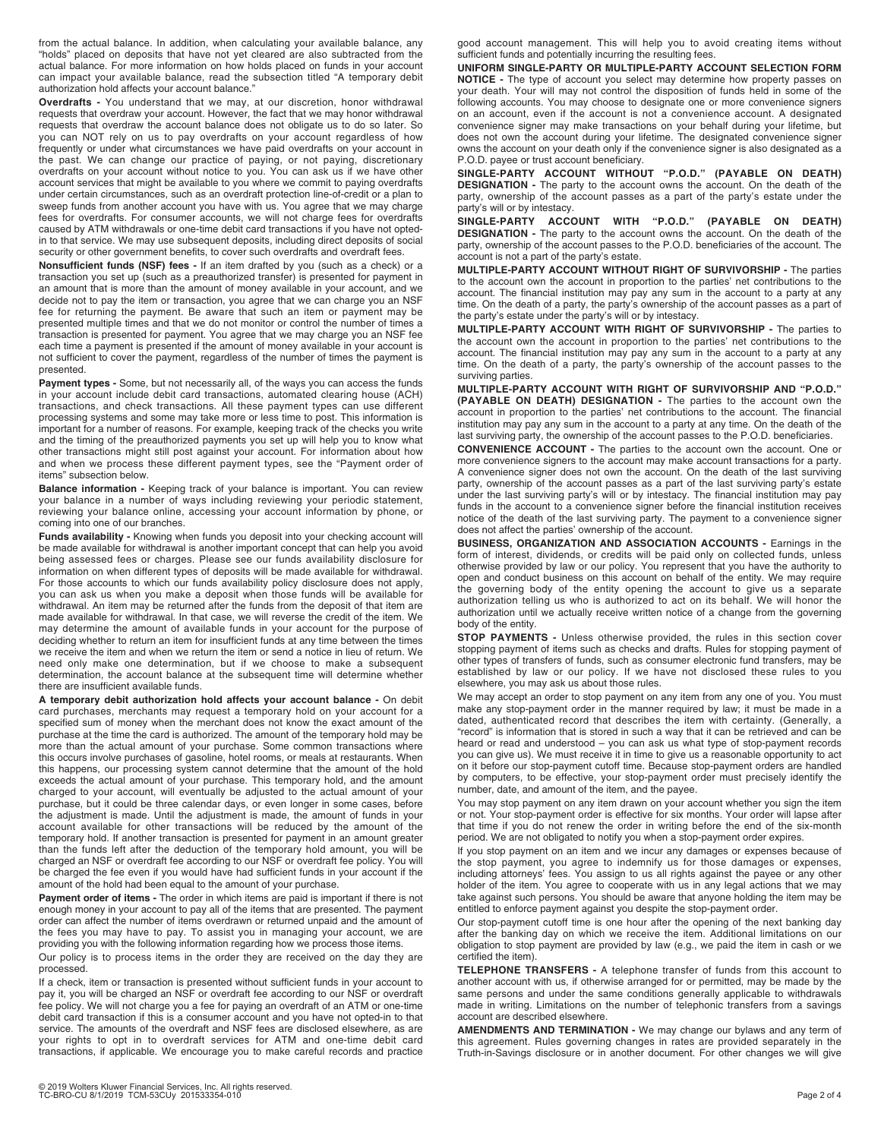from the actual balance. In addition, when calculating your available balance, any "holds" placed on deposits that have not yet cleared are also subtracted from the actual balance. For more information on how holds placed on funds in your account can impact your available balance, read the subsection titled "A temporary debit authorization hold affects your account balance."

**Overdrafts -** You understand that we may, at our discretion, honor withdrawal requests that overdraw your account. However, the fact that we may honor withdrawal requests that overdraw the account balance does not obligate us to do so later. So you can NOT rely on us to pay overdrafts on your account regardless of how frequently or under what circumstances we have paid overdrafts on your account in the past. We can change our practice of paying, or not paying, discretionary overdrafts on your account without notice to you. You can ask us if we have other account services that might be available to you where we commit to paying overdrafts under certain circumstances, such as an overdraft protection line-of-credit or a plan to sweep funds from another account you have with us. You agree that we may charge fees for overdrafts. For consumer accounts, we will not charge fees for overdrafts caused by ATM withdrawals or one-time debit card transactions if you have not optedin to that service. We may use subsequent deposits, including direct deposits of social security or other government benefits, to cover such overdrafts and overdraft fees.

**Nonsufficient funds (NSF) fees -** If an item drafted by you (such as a check) or a transaction you set up (such as a preauthorized transfer) is presented for payment in an amount that is more than the amount of money available in your account, and we decide not to pay the item or transaction, you agree that we can charge you an NSF fee for returning the payment. Be aware that such an item or payment may be presented multiple times and that we do not monitor or control the number of times a transaction is presented for payment. You agree that we may charge you an NSF fee each time a payment is presented if the amount of money available in your account is not sufficient to cover the payment, regardless of the number of times the payment is presented.

Payment types - Some, but not necessarily all, of the ways you can access the funds in your account include debit card transactions, automated clearing house (ACH) transactions, and check transactions. All these payment types can use different processing systems and some may take more or less time to post. This information is important for a number of reasons. For example, keeping track of the checks you write and the timing of the preauthorized payments you set up will help you to know what other transactions might still post against your account. For information about how and when we process these different payment types, see the "Payment order of items" subsection below.

**Balance information -** Keeping track of your balance is important. You can review your balance in a number of ways including reviewing your periodic statement, reviewing your balance online, accessing your account information by phone, or coming into one of our branches.

**Funds availability -** Knowing when funds you deposit into your checking account will be made available for withdrawal is another important concept that can help you avoid being assessed fees or charges. Please see our funds availability disclosure for information on when different types of deposits will be made available for withdrawal. For those accounts to which our funds availability policy disclosure does not apply, you can ask us when you make a deposit when those funds will be available for withdrawal. An item may be returned after the funds from the deposit of that item are made available for withdrawal. In that case, we will reverse the credit of the item. We may determine the amount of available funds in your account for the purpose of deciding whether to return an item for insufficient funds at any time between the times we receive the item and when we return the item or send a notice in lieu of return. We need only make one determination, but if we choose to make a subsequent determination, the account balance at the subsequent time will determine whether there are insufficient available funds.

**A temporary debit authorization hold affects your account balance -** On debit card purchases, merchants may request a temporary hold on your account for a specified sum of money when the merchant does not know the exact amount of the purchase at the time the card is authorized. The amount of the temporary hold may be more than the actual amount of your purchase. Some common transactions where this occurs involve purchases of gasoline, hotel rooms, or meals at restaurants. When this happens, our processing system cannot determine that the amount of the hold exceeds the actual amount of your purchase. This temporary hold, and the amount charged to your account, will eventually be adjusted to the actual amount of your purchase, but it could be three calendar days, or even longer in some cases, before the adjustment is made. Until the adjustment is made, the amount of funds in your account available for other transactions will be reduced by the amount of the temporary hold. If another transaction is presented for payment in an amount greater than the funds left after the deduction of the temporary hold amount, you will be charged an NSF or overdraft fee according to our NSF or overdraft fee policy. You will be charged the fee even if you would have had sufficient funds in your account if the amount of the hold had been equal to the amount of your purchase.

**Payment order of items -** The order in which items are paid is important if there is not enough money in your account to pay all of the items that are presented. The payment order can affect the number of items overdrawn or returned unpaid and the amount of the fees you may have to pay. To assist you in managing your account, we are providing you with the following information regarding how we process those items.

Our policy is to process items in the order they are received on the day they are processed.

If a check, item or transaction is presented without sufficient funds in your account to pay it, you will be charged an NSF or overdraft fee according to our NSF or overdraft fee policy. We will not charge you a fee for paying an overdraft of an ATM or one-time debit card transaction if this is a consumer account and you have not opted-in to that service. The amounts of the overdraft and NSF fees are disclosed elsewhere, as are your rights to opt in to overdraft services for ATM and one-time debit card transactions, if applicable. We encourage you to make careful records and practice

good account management. This will help you to avoid creating items without sufficient funds and potentially incurring the resulting fees.

**UNIFORM SINGLE-PARTY OR MULTIPLE-PARTY ACCOUNT SELECTION FORM NOTICE -** The type of account you select may determine how property passes on your death. Your will may not control the disposition of funds held in some of the following accounts. You may choose to designate one or more convenience signers on an account, even if the account is not a convenience account. A designated convenience signer may make transactions on your behalf during your lifetime, but does not own the account during your lifetime. The designated convenience signer owns the account on your death only if the convenience signer is also designated as a P.O.D. payee or trust account beneficiary.

**SINGLE-PARTY ACCOUNT WITHOUT "P.O.D." (PAYABLE ON DEATH) DESIGNATION -** The party to the account owns the account. On the death of the party, ownership of the account passes as a part of the party's estate under the party's will or by intestacy.

**SINGLE-PARTY ACCOUNT WITH "P.O.D." (PAYABLE ON DEATH) DESIGNATION -** The party to the account owns the account. On the death of the party, ownership of the account passes to the P.O.D. beneficiaries of the account. The account is not a part of the party's estate.

**MULTIPLE-PARTY ACCOUNT WITHOUT RIGHT OF SURVIVORSHIP -** The parties to the account own the account in proportion to the parties' net contributions to the account. The financial institution may pay any sum in the account to a party at any time. On the death of a party, the party's ownership of the account passes as a part of the party's estate under the party's will or by intestacy.

**MULTIPLE-PARTY ACCOUNT WITH RIGHT OF SURVIVORSHIP -** The parties to the account own the account in proportion to the parties' net contributions to the account. The financial institution may pay any sum in the account to a party at any time. On the death of a party, the party's ownership of the account passes to the surviving parties.

**MULTIPLE-PARTY ACCOUNT WITH RIGHT OF SURVIVORSHIP AND "P.O.D." (PAYABLE ON DEATH) DESIGNATION -** The parties to the account own the account in proportion to the parties' net contributions to the account. The financial institution may pay any sum in the account to a party at any time. On the death of the last surviving party, the ownership of the account passes to the P.O.D. beneficiaries.

**CONVENIENCE ACCOUNT -** The parties to the account own the account. One or more convenience signers to the account may make account transactions for a party. A convenience signer does not own the account. On the death of the last surviving party, ownership of the account passes as a part of the last surviving party's estate under the last surviving party's will or by intestacy. The financial institution may pay funds in the account to a convenience signer before the financial institution receives notice of the death of the last surviving party. The payment to a convenience signer does not affect the parties' ownership of the account.

**BUSINESS, ORGANIZATION AND ASSOCIATION ACCOUNTS - Earnings in the** form of interest, dividends, or credits will be paid only on collected funds, unless otherwise provided by law or our policy. You represent that you have the authority to open and conduct business on this account on behalf of the entity. We may require the governing body of the entity opening the account to give us a separate authorization telling us who is authorized to act on its behalf. We will honor the authorization until we actually receive written notice of a change from the governing body of the entity.

**STOP PAYMENTS -** Unless otherwise provided, the rules in this section cover stopping payment of items such as checks and drafts. Rules for stopping payment of other types of transfers of funds, such as consumer electronic fund transfers, may be established by law or our policy. If we have not disclosed these rules to you elsewhere, you may ask us about those rules.

We may accept an order to stop payment on any item from any one of you. You must make any stop-payment order in the manner required by law; it must be made in a dated, authenticated record that describes the item with certainty. (Generally, a "record" is information that is stored in such a way that it can be retrieved and can be heard or read and understood – you can ask us what type of stop-payment records you can give us). We must receive it in time to give us a reasonable opportunity to act on it before our stop-payment cutoff time. Because stop-payment orders are handled by computers, to be effective, your stop-payment order must precisely identify the number, date, and amount of the item, and the payee.

You may stop payment on any item drawn on your account whether you sign the item or not. Your stop-payment order is effective for six months. Your order will lapse after that time if you do not renew the order in writing before the end of the six-month period. We are not obligated to notify you when a stop-payment order expires.

If you stop payment on an item and we incur any damages or expenses because of the stop payment, you agree to indemnify us for those damages or expenses, including attorneys' fees. You assign to us all rights against the payee or any other holder of the item. You agree to cooperate with us in any legal actions that we may take against such persons. You should be aware that anyone holding the item may be entitled to enforce payment against you despite the stop-payment order.

Our stop-payment cutoff time is one hour after the opening of the next banking day after the banking day on which we receive the item. Additional limitations on our obligation to stop payment are provided by law (e.g., we paid the item in cash or we certified the item).

**TELEPHONE TRANSFERS -** A telephone transfer of funds from this account to another account with us, if otherwise arranged for or permitted, may be made by the same persons and under the same conditions generally applicable to withdrawals made in writing. Limitations on the number of telephonic transfers from a savings account are described elsewhere.

**AMENDMENTS AND TERMINATION -** We may change our bylaws and any term of this agreement. Rules governing changes in rates are provided separately in the Truth-in-Savings disclosure or in another document. For other changes we will give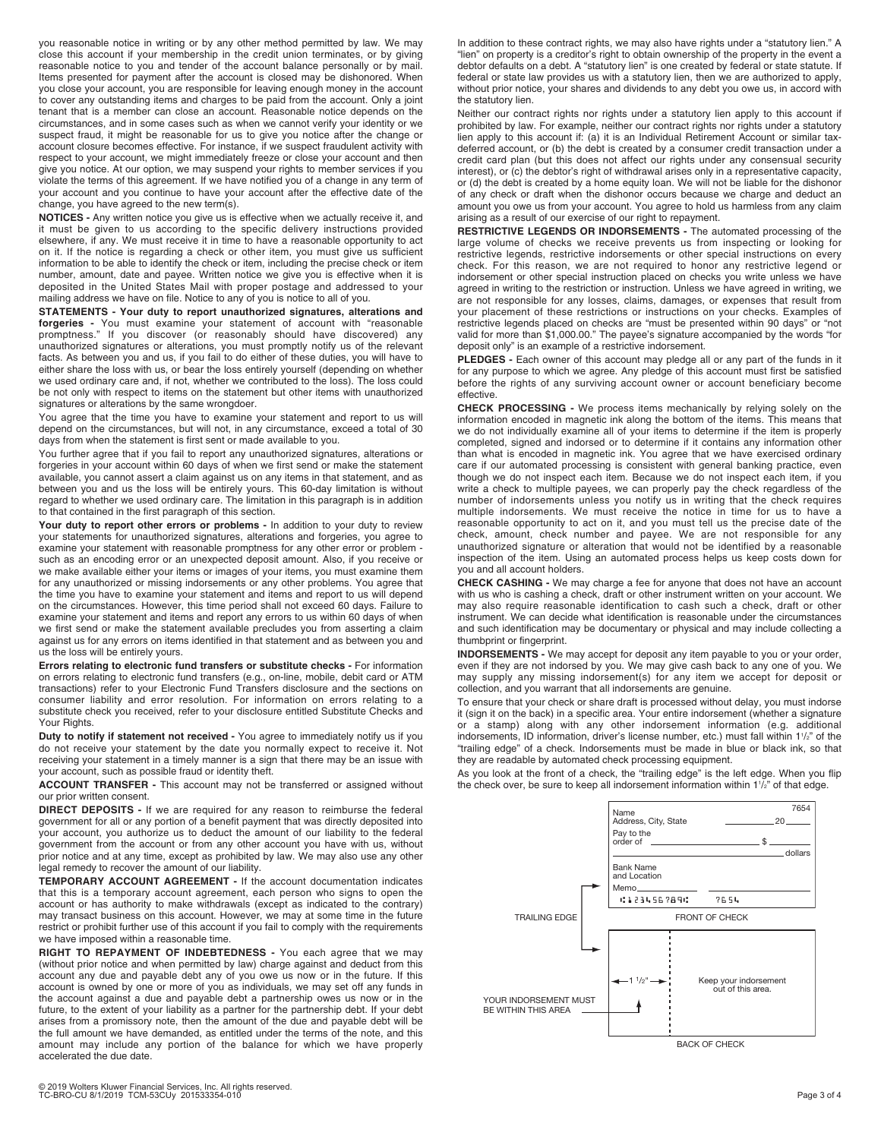you reasonable notice in writing or by any other method permitted by law. We may close this account if your membership in the credit union terminates, or by giving reasonable notice to you and tender of the account balance personally or by mail. Items presented for payment after the account is closed may be dishonored. When you close your account, you are responsible for leaving enough money in the account to cover any outstanding items and charges to be paid from the account. Only a joint tenant that is a member can close an account. Reasonable notice depends on the circumstances, and in some cases such as when we cannot verify your identity or we suspect fraud, it might be reasonable for us to give you notice after the change or account closure becomes effective. For instance, if we suspect fraudulent activity with respect to your account, we might immediately freeze or close your account and then give you notice. At our option, we may suspend your rights to member services if you violate the terms of this agreement. If we have notified you of a change in any term of your account and you continue to have your account after the effective date of the change, you have agreed to the new term(s).

**NOTICES -** Any written notice you give us is effective when we actually receive it, and it must be given to us according to the specific delivery instructions provided elsewhere, if any. We must receive it in time to have a reasonable opportunity to act on it. If the notice is regarding a check or other item, you must give us sufficient information to be able to identify the check or item, including the precise check or item number, amount, date and payee. Written notice we give you is effective when it is deposited in the United States Mail with proper postage and addressed to your mailing address we have on file. Notice to any of you is notice to all of you.

**STATEMENTS - Your duty to report unauthorized signatures, alterations and forgeries -** You must examine your statement of account with "reasonable promptness." If you discover (or reasonably should have discovered) any unauthorized signatures or alterations, you must promptly notify us of the relevant facts. As between you and us, if you fail to do either of these duties, you will have to either share the loss with us, or bear the loss entirely yourself (depending on whether we used ordinary care and, if not, whether we contributed to the loss). The loss could be not only with respect to items on the statement but other items with unauthorized signatures or alterations by the same wrongdoer.

You agree that the time you have to examine your statement and report to us will depend on the circumstances, but will not, in any circumstance, exceed a total of 30 days from when the statement is first sent or made available to you.

You further agree that if you fail to report any unauthorized signatures, alterations or forgeries in your account within 60 days of when we first send or make the statement available, you cannot assert a claim against us on any items in that statement, and as between you and us the loss will be entirely yours. This 60-day limitation is without regard to whether we used ordinary care. The limitation in this paragraph is in addition to that contained in the first paragraph of this section.

**Your duty to report other errors or problems -** In addition to your duty to review your statements for unauthorized signatures, alterations and forgeries, you agree to examine your statement with reasonable promptness for any other error or problem such as an encoding error or an unexpected deposit amount. Also, if you receive or we make available either your items or images of your items, you must examine them for any unauthorized or missing indorsements or any other problems. You agree that the time you have to examine your statement and items and report to us will depend on the circumstances. However, this time period shall not exceed 60 days. Failure to examine your statement and items and report any errors to us within 60 days of when we first send or make the statement available precludes you from asserting a claim against us for any errors on items identified in that statement and as between you and us the loss will be entirely yours.

**Errors relating to electronic fund transfers or substitute checks -** For information on errors relating to electronic fund transfers (e.g., on-line, mobile, debit card or ATM transactions) refer to your Electronic Fund Transfers disclosure and the sections on consumer liability and error resolution. For information on errors relating to a substitute check you received, refer to your disclosure entitled Substitute Checks and Your Rights.

**Duty to notify if statement not received -** You agree to immediately notify us if you do not receive your statement by the date you normally expect to receive it. Not receiving your statement in a timely manner is a sign that there may be an issue with your account, such as possible fraud or identity theft.

**ACCOUNT TRANSFER -** This account may not be transferred or assigned without our prior written consent.

**DIRECT DEPOSITS -** If we are required for any reason to reimburse the federal government for all or any portion of a benefit payment that was directly deposited into your account, you authorize us to deduct the amount of our liability to the federal government from the account or from any other account you have with us, without prior notice and at any time, except as prohibited by law. We may also use any other legal remedy to recover the amount of our liability.

**TEMPORARY ACCOUNT AGREEMENT -** If the account documentation indicates that this is a temporary account agreement, each person who signs to open the account or has authority to make withdrawals (except as indicated to the contrary) may transact business on this account. However, we may at some time in the future restrict or prohibit further use of this account if you fail to comply with the requirements we have imposed within a reasonable time.

**RIGHT TO REPAYMENT OF INDEBTEDNESS -** You each agree that we may (without prior notice and when permitted by law) charge against and deduct from this account any due and payable debt any of you owe us now or in the future. If this account is owned by one or more of you as individuals, we may set off any funds in the account against a due and payable debt a partnership owes us now or in the future, to the extent of your liability as a partner for the partnership debt. If your debt arises from a promissory note, then the amount of the due and payable debt will be the full amount we have demanded, as entitled under the terms of the note, and this amount may include any portion of the balance for which we have properly accelerated the due date.

In addition to these contract rights, we may also have rights under a "statutory lien." A "lien" on property is a creditor's right to obtain ownership of the property in the event a debtor defaults on a debt. A "statutory lien" is one created by federal or state statute. If federal or state law provides us with a statutory lien, then we are authorized to apply, without prior notice, your shares and dividends to any debt you owe us, in accord with the statutory lien.

Neither our contract rights nor rights under a statutory lien apply to this account if prohibited by law. For example, neither our contract rights nor rights under a statutory lien apply to this account if: (a) it is an Individual Retirement Account or similar taxdeferred account, or (b) the debt is created by a consumer credit transaction under a credit card plan (but this does not affect our rights under any consensual security interest), or (c) the debtor's right of withdrawal arises only in a representative capacity, or (d) the debt is created by a home equity loan. We will not be liable for the dishonor of any check or draft when the dishonor occurs because we charge and deduct an amount you owe us from your account. You agree to hold us harmless from any claim arising as a result of our exercise of our right to repayment.

**RESTRICTIVE LEGENDS OR INDORSEMENTS -** The automated processing of the large volume of checks we receive prevents us from inspecting or looking for restrictive legends, restrictive indorsements or other special instructions on every check. For this reason, we are not required to honor any restrictive legend or indorsement or other special instruction placed on checks you write unless we have agreed in writing to the restriction or instruction. Unless we have agreed in writing, we are not responsible for any losses, claims, damages, or expenses that result from your placement of these restrictions or instructions on your checks. Examples of restrictive legends placed on checks are "must be presented within 90 days" or "not valid for more than \$1,000.00." The payee's signature accompanied by the words "for deposit only" is an example of a restrictive indorsement.

PLEDGES - Each owner of this account may pledge all or any part of the funds in it for any purpose to which we agree. Any pledge of this account must first be satisfied before the rights of any surviving account owner or account beneficiary become effective.

**CHECK PROCESSING -** We process items mechanically by relying solely on the information encoded in magnetic ink along the bottom of the items. This means that we do not individually examine all of your items to determine if the item is properly completed, signed and indorsed or to determine if it contains any information other than what is encoded in magnetic ink. You agree that we have exercised ordinary care if our automated processing is consistent with general banking practice, even though we do not inspect each item. Because we do not inspect each item, if you write a check to multiple payees, we can properly pay the check regardless of the number of indorsements unless you notify us in writing that the check requires multiple indorsements. We must receive the notice in time for us to have a reasonable opportunity to act on it, and you must tell us the precise date of the check, amount, check number and payee. We are not responsible for any unauthorized signature or alteration that would not be identified by a reasonable inspection of the item. Using an automated process helps us keep costs down for you and all account holders.

**CHECK CASHING -** We may charge a fee for anyone that does not have an account with us who is cashing a check, draft or other instrument written on your account. We may also require reasonable identification to cash such a check, draft or other instrument. We can decide what identification is reasonable under the circumstances and such identification may be documentary or physical and may include collecting a thumbprint or fingerprint.

**INDORSEMENTS -** We may accept for deposit any item payable to you or your order, even if they are not indorsed by you. We may give cash back to any one of you. We may supply any missing indorsement(s) for any item we accept for deposit or collection, and you warrant that all indorsements are genuine.

To ensure that your check or share draft is processed without delay, you must indorse it (sign it on the back) in a specific area. Your entire indorsement (whether a signature or a stamp) along with any other indorsement information (e.g. additional indorsements, ID information, driver's license number, etc.) must fall within 1<sup>1</sup>/<sub>2</sub>" of the "trailing edge" of a check. Indorsements must be made in blue or black ink, so that they are readable by automated check processing equipment.

As you look at the front of a check, the "trailing edge" is the left edge. When you flip the check over, be sure to keep all indorsement information within  $1\frac{1}{2}$ " of that edge.



BACK OF CHECK